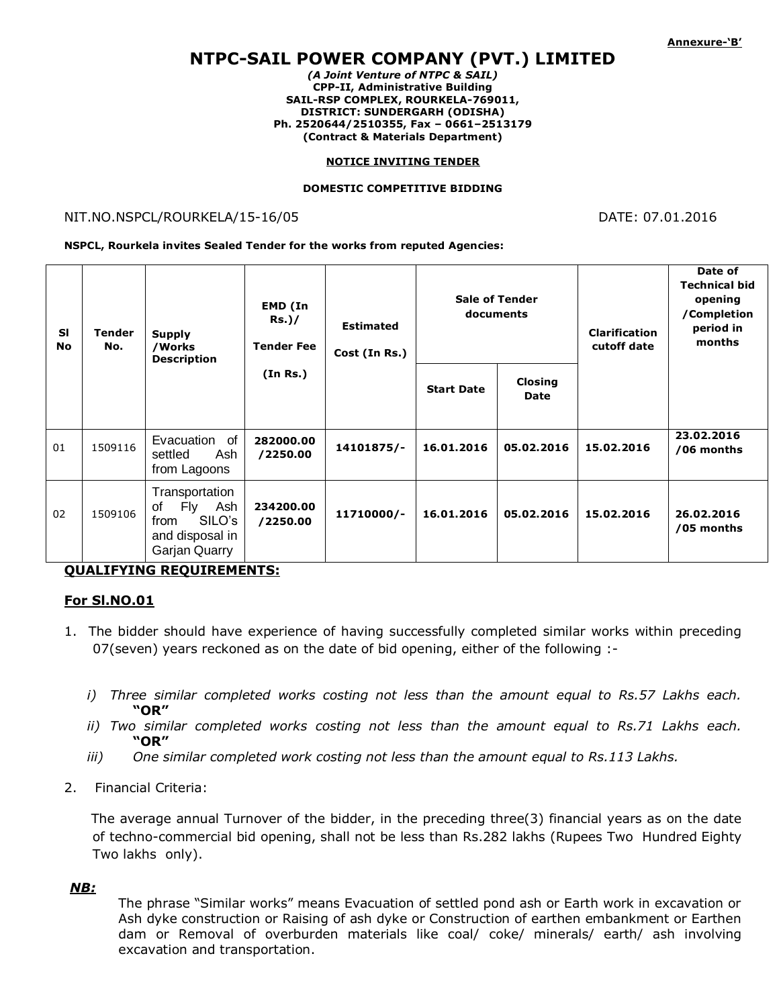# **NTPC-SAIL POWER COMPANY (PVT.) LIMITED**

*(A Joint Venture of NTPC & SAIL)* **CPP-II, Administrative Building SAIL-RSP COMPLEX, ROURKELA-769011, DISTRICT: SUNDERGARH (ODISHA) Ph. 2520644/2510355, Fax – 0661–2513179 (Contract & Materials Department)**

#### **NOTICE INVITING TENDER**

#### **DOMESTIC COMPETITIVE BIDDING**

#### NIT.NO.NSPCL/ROURKELA/15-16/05 DATE: 07.01.2016

**NSPCL, Rourkela invites Sealed Tender for the works from reputed Agencies:**

| <b>SI</b><br><b>No</b> | <b>Tender</b><br>No. | <b>Supply</b><br>/Works<br>Description                                                          | EMD (In<br>$Rs.$ )/<br><b>Tender Fee</b><br>(In Rs.) | <b>Estimated</b><br>Cost (In Rs.) | <b>Sale of Tender</b><br>documents |                        | <b>Clarification</b><br>cutoff date | Date of<br><b>Technical bid</b><br>opening<br>/Completion<br>period in<br>months |
|------------------------|----------------------|-------------------------------------------------------------------------------------------------|------------------------------------------------------|-----------------------------------|------------------------------------|------------------------|-------------------------------------|----------------------------------------------------------------------------------|
|                        |                      |                                                                                                 |                                                      |                                   | <b>Start Date</b>                  | <b>Closing</b><br>Date |                                     |                                                                                  |
| 01                     | 1509116              | Evacuation of<br>settled<br>Ash<br>from Lagoons                                                 | 282000.00<br>/2250.00                                | 14101875/-                        | 16.01.2016                         | 05.02.2016             | 15.02.2016                          | 23.02.2016<br>/06 months                                                         |
| 02                     | 1509106              | Transportation<br>οf<br>Ash<br><b>Fly</b><br>SILO's<br>from<br>and disposal in<br>Garjan Quarry | 234200.00<br>/2250.00                                | 11710000/-                        | 16.01.2016                         | 05.02.2016             | 15.02.2016                          | 26.02.2016<br>/05 months                                                         |

**QUALIFYING REQUIREMENTS:**

#### **For Sl.NO.01**

- 1. The bidder should have experience of having successfully completed similar works within preceding 07(seven) years reckoned as on the date of bid opening, either of the following :
	- *i) Three similar completed works costing not less than the amount equal to Rs.57 Lakhs each.*  **"OR"**
	- *ii) Two similar completed works costing not less than the amount equal to Rs.71 Lakhs each.*  **"OR"**
	- *iii) One similar completed work costing not less than the amount equal to Rs.113 Lakhs.*
- 2. Financial Criteria:

 The average annual Turnover of the bidder, in the preceding three(3) financial years as on the date of techno-commercial bid opening, shall not be less than Rs.282 lakhs (Rupees Two Hundred Eighty Two lakhs only).

### *NB:*

The phrase "Similar works" means Evacuation of settled pond ash or Earth work in excavation or Ash dyke construction or Raising of ash dyke or Construction of earthen embankment or Earthen dam or Removal of overburden materials like coal/ coke/ minerals/ earth/ ash involving excavation and transportation.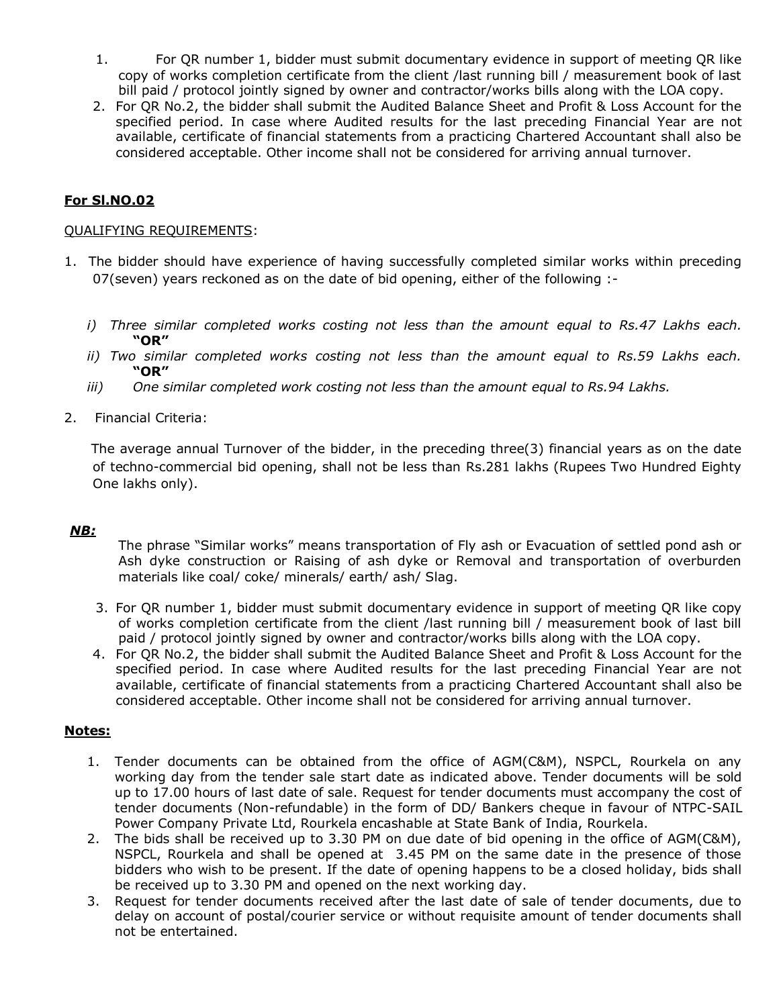- 1. For QR number 1, bidder must submit documentary evidence in support of meeting QR like copy of works completion certificate from the client /last running bill / measurement book of last bill paid / protocol jointly signed by owner and contractor/works bills along with the LOA copy.
- 2. For QR No.2, the bidder shall submit the Audited Balance Sheet and Profit & Loss Account for the specified period. In case where Audited results for the last preceding Financial Year are not available, certificate of financial statements from a practicing Chartered Accountant shall also be considered acceptable. Other income shall not be considered for arriving annual turnover.

# **For Sl.NO.02**

#### QUALIFYING REQUIREMENTS:

- 1. The bidder should have experience of having successfully completed similar works within preceding 07(seven) years reckoned as on the date of bid opening, either of the following :
	- *i) Three similar completed works costing not less than the amount equal to Rs.47 Lakhs each.*  **"OR"**
	- *ii) Two similar completed works costing not less than the amount equal to Rs.59 Lakhs each.*  **"OR"**
	- *iii) One similar completed work costing not less than the amount equal to Rs.94 Lakhs.*
- 2. Financial Criteria:

 The average annual Turnover of the bidder, in the preceding three(3) financial years as on the date of techno-commercial bid opening, shall not be less than Rs.281 lakhs (Rupees Two Hundred Eighty One lakhs only).

# *NB:*

The phrase "Similar works" means transportation of Fly ash or Evacuation of settled pond ash or Ash dyke construction or Raising of ash dyke or Removal and transportation of overburden materials like coal/ coke/ minerals/ earth/ ash/ Slag.

- 3. For QR number 1, bidder must submit documentary evidence in support of meeting QR like copy of works completion certificate from the client /last running bill / measurement book of last bill paid / protocol jointly signed by owner and contractor/works bills along with the LOA copy.
- 4. For QR No.2, the bidder shall submit the Audited Balance Sheet and Profit & Loss Account for the specified period. In case where Audited results for the last preceding Financial Year are not available, certificate of financial statements from a practicing Chartered Accountant shall also be considered acceptable. Other income shall not be considered for arriving annual turnover.

### **Notes:**

- 1. Tender documents can be obtained from the office of AGM(C&M), NSPCL, Rourkela on any working day from the tender sale start date as indicated above. Tender documents will be sold up to 17.00 hours of last date of sale. Request for tender documents must accompany the cost of tender documents (Non-refundable) in the form of DD/ Bankers cheque in favour of NTPC-SAIL Power Company Private Ltd, Rourkela encashable at State Bank of India, Rourkela.
- 2. The bids shall be received up to 3.30 PM on due date of bid opening in the office of AGM(C&M), NSPCL, Rourkela and shall be opened at 3.45 PM on the same date in the presence of those bidders who wish to be present. If the date of opening happens to be a closed holiday, bids shall be received up to 3.30 PM and opened on the next working day.
- 3. Request for tender documents received after the last date of sale of tender documents, due to delay on account of postal/courier service or without requisite amount of tender documents shall not be entertained.